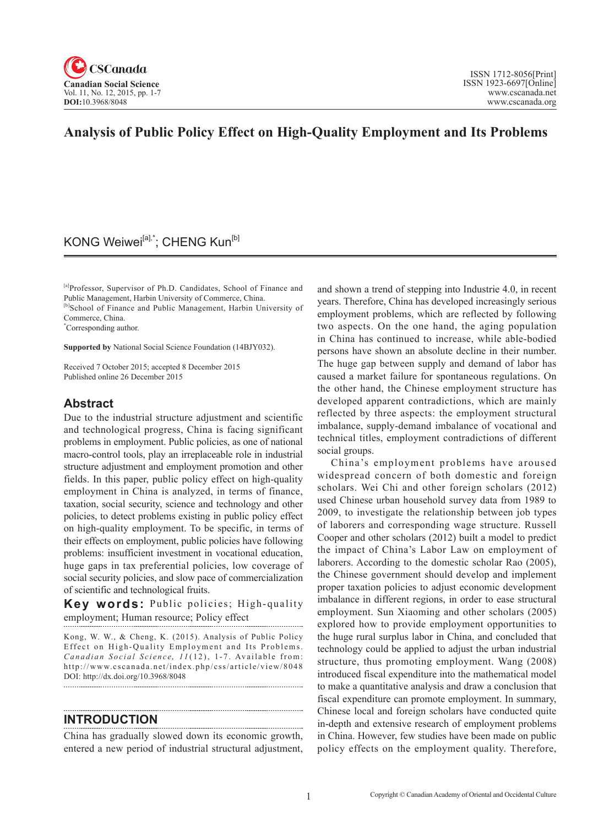

# **Analysis of Public Policy Effect on High-Quality Employment and Its Problems**

# KONG Weiwei<sup>[a],\*</sup>; CHENG Kun<sup>[b]</sup>

[a]Professor, Supervisor of Ph.D. Candidates, School of Finance and Public Management, Harbin University of Commerce, China.

[b]School of Finance and Public Management, Harbin University of Commerce, China.

\* Corresponding author.

**Supported by** National Social Science Foundation (14BJY032).

Received 7 October 2015; accepted 8 December 2015 Published online 26 December 2015

### **Abstract**

Due to the industrial structure adjustment and scientific and technological progress, China is facing significant problems in employment. Public policies, as one of national macro-control tools, play an irreplaceable role in industrial structure adjustment and employment promotion and other fields. In this paper, public policy effect on high-quality employment in China is analyzed, in terms of finance, taxation, social security, science and technology and other policies, to detect problems existing in public policy effect on high-quality employment. To be specific, in terms of their effects on employment, public policies have following problems: insufficient investment in vocational education, huge gaps in tax preferential policies, low coverage of social security policies, and slow pace of commercialization of scientific and technological fruits.

**Key words:** Public policies; High-quality employment; Human resource; Policy effect

Kong, W. W., & Cheng, K. (2015). Analysis of Public Policy Effect on High-Quality Employment and Its Problems. *Canadian Social Science, 11*(12), 1-7. Available from: http://www.cscanada.net/index.php/css/article/view/8048 DOI: http://dx.doi.org/10.3968/8048 

#### **INTRODUCTION**

China has gradually slowed down its economic growth, entered a new period of industrial structural adjustment, and shown a trend of stepping into Industrie 4.0, in recent years. Therefore, China has developed increasingly serious employment problems, which are reflected by following two aspects. On the one hand, the aging population in China has continued to increase, while able-bodied persons have shown an absolute decline in their number. The huge gap between supply and demand of labor has caused a market failure for spontaneous regulations. On the other hand, the Chinese employment structure has developed apparent contradictions, which are mainly reflected by three aspects: the employment structural imbalance, supply-demand imbalance of vocational and technical titles, employment contradictions of different social groups.

China's employment problems have aroused widespread concern of both domestic and foreign scholars. Wei Chi and other foreign scholars (2012) used Chinese urban household survey data from 1989 to 2009, to investigate the relationship between job types of laborers and corresponding wage structure. Russell Cooper and other scholars (2012) built a model to predict the impact of China's Labor Law on employment of laborers. According to the domestic scholar Rao (2005), the Chinese government should develop and implement proper taxation policies to adjust economic development imbalance in different regions, in order to ease structural employment. Sun Xiaoming and other scholars (2005) explored how to provide employment opportunities to the huge rural surplus labor in China, and concluded that technology could be applied to adjust the urban industrial structure, thus promoting employment. Wang (2008) introduced fiscal expenditure into the mathematical model to make a quantitative analysis and draw a conclusion that fiscal expenditure can promote employment. In summary, Chinese local and foreign scholars have conducted quite in-depth and extensive research of employment problems in China. However, few studies have been made on public policy effects on the employment quality. Therefore,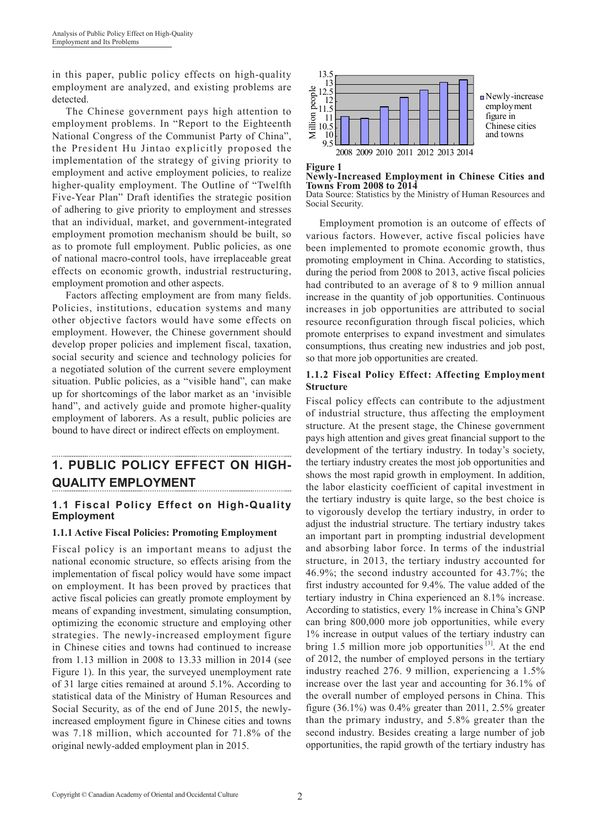in this paper, public policy effects on high-quality employment are analyzed, and existing problems are detected.

The Chinese government pays high attention to employment problems. In "Report to the Eighteenth National Congress of the Communist Party of China", the President Hu Jintao explicitly proposed the implementation of the strategy of giving priority to employment and active employment policies, to realize higher-quality employment. The Outline of "Twelfth Five-Year Plan" Draft identifies the strategic position of adhering to give priority to employment and stresses that an individual, market, and government-integrated employment promotion mechanism should be built, so as to promote full employment. Public policies, as one of national macro-control tools, have irreplaceable great effects on economic growth, industrial restructuring, employment promotion and other aspects.

Factors affecting employment are from many fields. Policies, institutions, education systems and many other objective factors would have some effects on employment. However, the Chinese government should develop proper policies and implement fiscal, taxation, social security and science and technology policies for a negotiated solution of the current severe employment situation. Public policies, as a "visible hand", can make up for shortcomings of the labor market as an 'invisible hand", and actively guide and promote higher-quality employment of laborers. As a result, public policies are bound to have direct or indirect effects on employment.

# **1. PUBLIC POLICY EFFECT ON HIGH-QUALITY EMPLOYMENT**

### **1.1 Fiscal Policy Effect on High-Quality Employment**

#### **1.1.1 Active Fiscal Policies: Promoting Employment**

Fiscal policy is an important means to adjust the national economic structure, so effects arising from the implementation of fiscal policy would have some impact on employment. It has been proved by practices that active fiscal policies can greatly promote employment by means of expanding investment, simulating consumption, optimizing the economic structure and employing other strategies. The newly-increased employment figure in Chinese cities and towns had continued to increase from 1.13 million in 2008 to 13.33 million in 2014 (see Figure 1). In this year, the surveyed unemployment rate of 31 large cities remained at around 5.1%. According to statistical data of the Ministry of Human Resources and Social Security, as of the end of June 2015, the newlyincreased employment figure in Chinese cities and towns was 7.18 million, which accounted for 71.8% of the original newly-added employment plan in 2015.



**Figure 1 Newly-Increased Employment in Chinese Cities and Towns From 2008 to 2014** Data Source: Statistics by the Ministry of Human Resources and

Social Security.

Employment promotion is an outcome of effects of various factors. However, active fiscal policies have been implemented to promote economic growth, thus promoting employment in China. According to statistics, during the period from 2008 to 2013, active fiscal policies had contributed to an average of 8 to 9 million annual increase in the quantity of job opportunities. Continuous increases in job opportunities are attributed to social resource reconfiguration through fiscal policies, which promote enterprises to expand investment and simulates consumptions, thus creating new industries and job post, so that more job opportunities are created.

#### **1.1.2 Fiscal Policy Effect: Affecting Employment Structure**

Fiscal policy effects can contribute to the adjustment of industrial structure, thus affecting the employment structure. At the present stage, the Chinese government pays high attention and gives great financial support to the development of the tertiary industry. In today's society, the tertiary industry creates the most job opportunities and shows the most rapid growth in employment. In addition, the labor elasticity coefficient of capital investment in the tertiary industry is quite large, so the best choice is to vigorously develop the tertiary industry, in order to adjust the industrial structure. The tertiary industry takes an important part in prompting industrial development and absorbing labor force. In terms of the industrial structure, in 2013, the tertiary industry accounted for 46.9%; the second industry accounted for 43.7%; the first industry accounted for 9.4%. The value added of the tertiary industry in China experienced an 8.1% increase. According to statistics, every 1% increase in China's GNP can bring 800,000 more job opportunities, while every 1% increase in output values of the tertiary industry can bring 1.5 million more job opportunities  $[3]$ . At the end of 2012, the number of employed persons in the tertiary industry reached 276. 9 million, experiencing a 1.5% increase over the last year and accounting for 36.1% of the overall number of employed persons in China. This figure (36.1%) was 0.4% greater than 2011, 2.5% greater than the primary industry, and 5.8% greater than the second industry. Besides creating a large number of job opportunities, the rapid growth of the tertiary industry has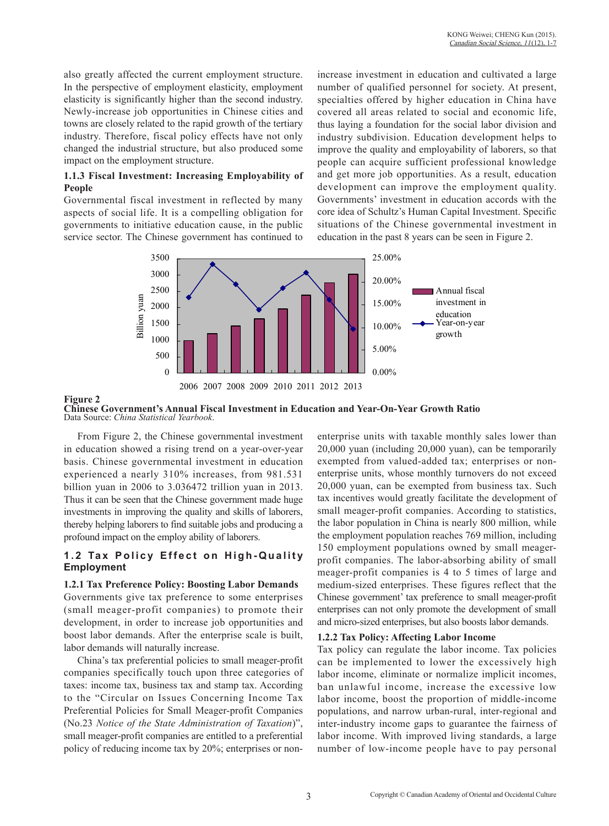also greatly affected the current employment structure. In the perspective of employment elasticity, employment elasticity is significantly higher than the second industry. Newly-increase job opportunities in Chinese cities and towns are closely related to the rapid growth of the tertiary industry. Therefore, fiscal policy effects have not only changed the industrial structure, but also produced some impact on the employment structure.

#### **1.1.3 Fiscal Investment: Increasing Employability of People**

Governmental fiscal investment in reflected by many aspects of social life. It is a compelling obligation for governments to initiative education cause, in the public service sector. The Chinese government has continued to

increase investment in education and cultivated a large number of qualified personnel for society. At present, specialties offered by higher education in China have covered all areas related to social and economic life, thus laying a foundation for the social labor division and industry subdivision. Education development helps to improve the quality and employability of laborers, so that people can acquire sufficient professional knowledge and get more job opportunities. As a result, education development can improve the employment quality. Governments' investment in education accords with the core idea of Schultz's Human Capital Investment. Specific situations of the Chinese governmental investment in education in the past 8 years can be seen in Figure 2.



#### **Figure 2 Chinese Government's Annual Fiscal Investment in Education and Year-On-Year Growth Ratio** Data Source: *China Statistical Yearbook*.

From Figure 2, the Chinese governmental investment in education showed a rising trend on a year-over-year basis. Chinese governmental investment in education experienced a nearly 310% increases, from 981.531 billion yuan in 2006 to 3.036472 trillion yuan in 2013. Thus it can be seen that the Chinese government made huge investments in improving the quality and skills of laborers, thereby helping laborers to find suitable jobs and producing a profound impact on the employ ability of laborers.

### **1.2 Tax Policy Effect on High-Quality Employment**

#### **1.2.1 Tax Preference Policy: Boosting Labor Demands**

Governments give tax preference to some enterprises (small meager-profit companies) to promote their development, in order to increase job opportunities and boost labor demands. After the enterprise scale is built, labor demands will naturally increase.

China's tax preferential policies to small meager-profit companies specifically touch upon three categories of taxes: income tax, business tax and stamp tax. According to the "Circular on Issues Concerning Income Tax Preferential Policies for Small Meager-profit Companies (No.23 *Notice of the State Administration of Taxation*)", small meager-profit companies are entitled to a preferential policy of reducing income tax by 20%; enterprises or nonenterprise units with taxable monthly sales lower than 20,000 yuan (including 20,000 yuan), can be temporarily exempted from valued-added tax; enterprises or nonenterprise units, whose monthly turnovers do not exceed 20,000 yuan, can be exempted from business tax. Such tax incentives would greatly facilitate the development of small meager-profit companies. According to statistics, the labor population in China is nearly 800 million, while the employment population reaches 769 million, including 150 employment populations owned by small meagerprofit companies. The labor-absorbing ability of small meager-profit companies is 4 to 5 times of large and medium-sized enterprises. These figures reflect that the Chinese government' tax preference to small meager-profit enterprises can not only promote the development of small and micro-sized enterprises, but also boosts labor demands.

#### **1.2.2 Tax Policy: Affecting Labor Income**

Tax policy can regulate the labor income. Tax policies can be implemented to lower the excessively high labor income, eliminate or normalize implicit incomes, ban unlawful income, increase the excessive low labor income, boost the proportion of middle-income populations, and narrow urban-rural, inter-regional and inter-industry income gaps to guarantee the fairness of labor income. With improved living standards, a large number of low-income people have to pay personal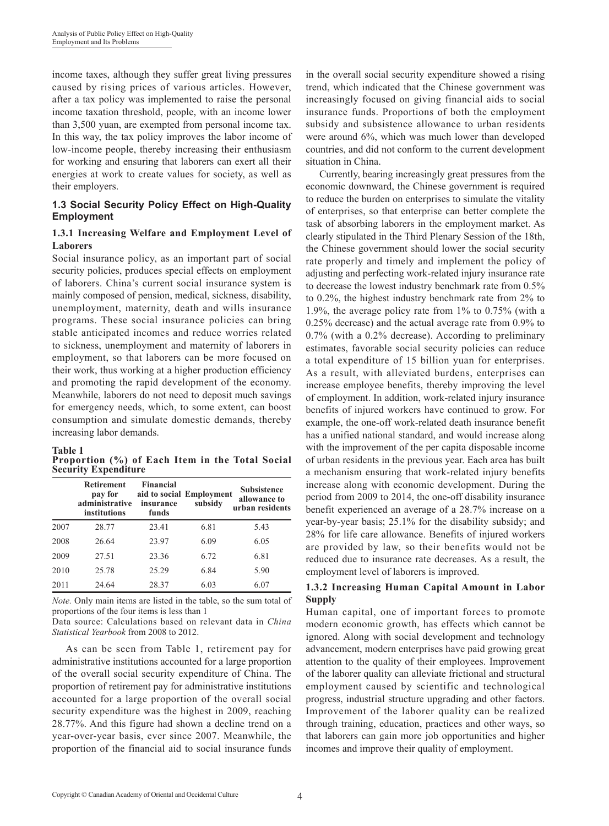income taxes, although they suffer great living pressures caused by rising prices of various articles. However, after a tax policy was implemented to raise the personal income taxation threshold, people, with an income lower than 3,500 yuan, are exempted from personal income tax. In this way, the tax policy improves the labor income of low-income people, thereby increasing their enthusiasm for working and ensuring that laborers can exert all their energies at work to create values for society, as well as their employers.

#### **1.3 Social Security Policy Effect on High-Quality Employment**

#### **1.3.1 Increasing Welfare and Employment Level of Laborers**

Social insurance policy, as an important part of social security policies, produces special effects on employment of laborers. China's current social insurance system is mainly composed of pension, medical, sickness, disability, unemployment, maternity, death and wills insurance programs. These social insurance policies can bring stable anticipated incomes and reduce worries related to sickness, unemployment and maternity of laborers in employment, so that laborers can be more focused on their work, thus working at a higher production efficiency and promoting the rapid development of the economy. Meanwhile, laborers do not need to deposit much savings for emergency needs, which, to some extent, can boost consumption and simulate domestic demands, thereby increasing labor demands.

#### **Table 1**

**Proportion (%) of Each Item in the Total Social Security Expenditure** 

|      | <b>Retirement</b><br>pay for<br>administrative<br>institutions | <b>Financial</b><br>insurance<br>funds | aid to social Employment<br>subsidy | <b>Subsistence</b><br>allowance to<br>urban residents |
|------|----------------------------------------------------------------|----------------------------------------|-------------------------------------|-------------------------------------------------------|
| 2007 | 28.77                                                          | 23.41                                  | 6.81                                | 5.43                                                  |
| 2008 | 26.64                                                          | 23.97                                  | 6.09                                | 6.05                                                  |
| 2009 | 27.51                                                          | 23.36                                  | 6.72                                | 6.81                                                  |
| 2010 | 25.78                                                          | 25.29                                  | 6.84                                | 5.90                                                  |
| 2011 | 24.64                                                          | 28.37                                  | 6.03                                | 6.07                                                  |

*Note.* Only main items are listed in the table, so the sum total of proportions of the four items is less than 1

Data source: Calculations based on relevant data in *China Statistical Yearbook* from 2008 to 2012.

As can be seen from Table 1, retirement pay for administrative institutions accounted for a large proportion of the overall social security expenditure of China. The proportion of retirement pay for administrative institutions accounted for a large proportion of the overall social security expenditure was the highest in 2009, reaching 28.77%. And this figure had shown a decline trend on a year-over-year basis, ever since 2007. Meanwhile, the proportion of the financial aid to social insurance funds

in the overall social security expenditure showed a rising trend, which indicated that the Chinese government was increasingly focused on giving financial aids to social insurance funds. Proportions of both the employment subsidy and subsistence allowance to urban residents were around 6%, which was much lower than developed countries, and did not conform to the current development situation in China.

Currently, bearing increasingly great pressures from the economic downward, the Chinese government is required to reduce the burden on enterprises to simulate the vitality of enterprises, so that enterprise can better complete the task of absorbing laborers in the employment market. As clearly stipulated in the Third Plenary Session of the 18th, the Chinese government should lower the social security rate properly and timely and implement the policy of adjusting and perfecting work-related injury insurance rate to decrease the lowest industry benchmark rate from 0.5% to 0.2%, the highest industry benchmark rate from 2% to 1.9%, the average policy rate from 1% to 0.75% (with a 0.25% decrease) and the actual average rate from 0.9% to 0.7% (with a 0.2% decrease). According to preliminary estimates, favorable social security policies can reduce a total expenditure of 15 billion yuan for enterprises. As a result, with alleviated burdens, enterprises can increase employee benefits, thereby improving the level of employment. In addition, work-related injury insurance benefits of injured workers have continued to grow. For example, the one-off work-related death insurance benefit has a unified national standard, and would increase along with the improvement of the per capita disposable income of urban residents in the previous year. Each area has built a mechanism ensuring that work-related injury benefits increase along with economic development. During the period from 2009 to 2014, the one-off disability insurance benefit experienced an average of a 28.7% increase on a year-by-year basis; 25.1% for the disability subsidy; and 28% for life care allowance. Benefits of injured workers are provided by law, so their benefits would not be reduced due to insurance rate decreases. As a result, the employment level of laborers is improved.

### **1.3.2 Increasing Human Capital Amount in Labor Supply**

Human capital, one of important forces to promote modern economic growth, has effects which cannot be ignored. Along with social development and technology advancement, modern enterprises have paid growing great attention to the quality of their employees. Improvement of the laborer quality can alleviate frictional and structural employment caused by scientific and technological progress, industrial structure upgrading and other factors. Improvement of the laborer quality can be realized through training, education, practices and other ways, so that laborers can gain more job opportunities and higher incomes and improve their quality of employment.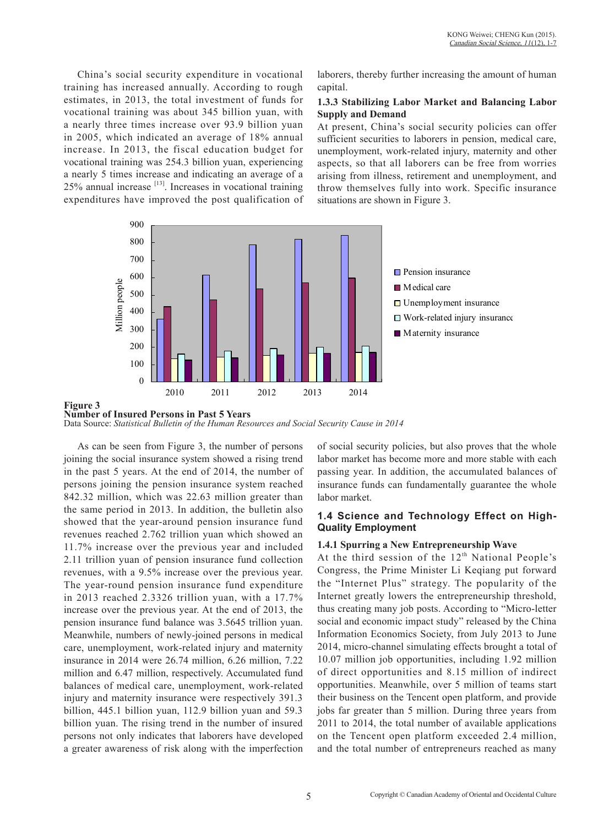China's social security expenditure in vocational training has increased annually. According to rough estimates, in 2013, the total investment of funds for vocational training was about 345 billion yuan, with a nearly three times increase over 93.9 billion yuan in 2005, which indicated an average of 18% annual increase. In 2013, the fiscal education budget for vocational training was 254.3 billion yuan, experiencing a nearly 5 times increase and indicating an average of a  $25\%$  annual increase  $[13]$ . Increases in vocational training expenditures have improved the post qualification of laborers, thereby further increasing the amount of human capital.

#### **1.3.3 Stabilizing Labor Market and Balancing Labor Supply and Demand**

At present, China's social security policies can offer sufficient securities to laborers in pension, medical care, unemployment, work-related injury, maternity and other aspects, so that all laborers can be free from worries arising from illness, retirement and unemployment, and throw themselves fully into work. Specific insurance situations are shown in Figure 3.



#### **Figure 3**

**Number of Insured Persons in Past 5 Years** Data Source: *Statistical Bulletin of the Human Resources and Social Security Cause in 2014*

As can be seen from Figure 3, the number of persons joining the social insurance system showed a rising trend in the past 5 years. At the end of 2014, the number of persons joining the pension insurance system reached 842.32 million, which was 22.63 million greater than the same period in 2013. In addition, the bulletin also showed that the year-around pension insurance fund revenues reached 2.762 trillion yuan which showed an 11.7% increase over the previous year and included 2.11 trillion yuan of pension insurance fund collection revenues, with a 9.5% increase over the previous year. The year-round pension insurance fund expenditure in 2013 reached 2.3326 trillion yuan, with a 17.7% increase over the previous year. At the end of 2013, the pension insurance fund balance was 3.5645 trillion yuan. Meanwhile, numbers of newly-joined persons in medical care, unemployment, work-related injury and maternity insurance in 2014 were 26.74 million, 6.26 million, 7.22 million and 6.47 million, respectively. Accumulated fund balances of medical care, unemployment, work-related injury and maternity insurance were respectively 391.3 billion, 445.1 billion yuan, 112.9 billion yuan and 59.3 billion yuan. The rising trend in the number of insured persons not only indicates that laborers have developed a greater awareness of risk along with the imperfection

of social security policies, but also proves that the whole labor market has become more and more stable with each passing year. In addition, the accumulated balances of insurance funds can fundamentally guarantee the whole labor market.

#### **1.4 Science and Technology Effect on High-Quality Employment**

#### **1.4.1 Spurring a New Entrepreneurship Wave**

At the third session of the  $12<sup>th</sup>$  National People's Congress, the Prime Minister Li Keqiang put forward the "Internet Plus" strategy. The popularity of the Internet greatly lowers the entrepreneurship threshold, thus creating many job posts. According to "Micro-letter social and economic impact study" released by the China Information Economics Society, from July 2013 to June 2014, micro-channel simulating effects brought a total of 10.07 million job opportunities, including 1.92 million of direct opportunities and 8.15 million of indirect opportunities. Meanwhile, over 5 million of teams start their business on the Tencent open platform, and provide jobs far greater than 5 million. During three years from 2011 to 2014, the total number of available applications on the Tencent open platform exceeded 2.4 million, and the total number of entrepreneurs reached as many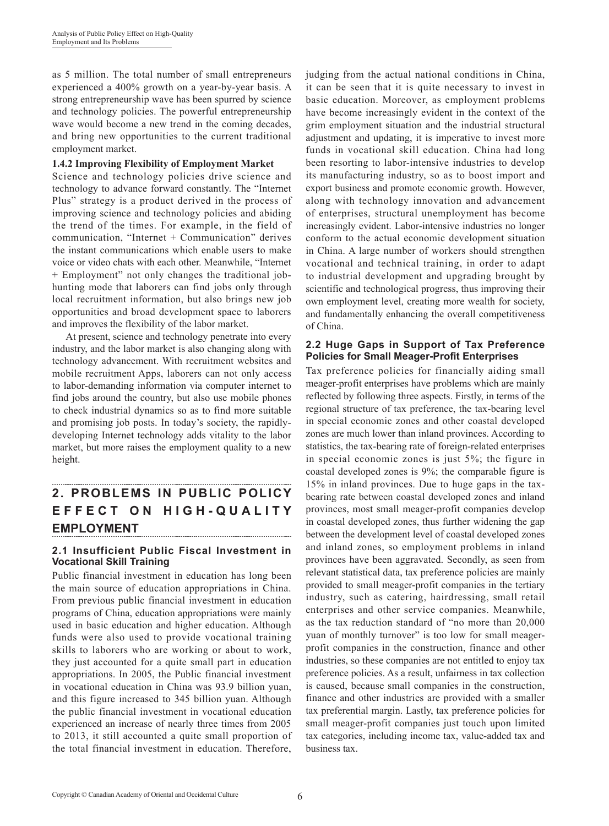as 5 million. The total number of small entrepreneurs experienced a 400% growth on a year-by-year basis. A strong entrepreneurship wave has been spurred by science and technology policies. The powerful entrepreneurship wave would become a new trend in the coming decades, and bring new opportunities to the current traditional employment market.

#### **1.4.2 Improving Flexibility of Employment Market**

Science and technology policies drive science and technology to advance forward constantly. The "Internet Plus" strategy is a product derived in the process of improving science and technology policies and abiding the trend of the times. For example, in the field of communication, "Internet + Communication" derives the instant communications which enable users to make voice or video chats with each other. Meanwhile, "Internet + Employment" not only changes the traditional jobhunting mode that laborers can find jobs only through local recruitment information, but also brings new job opportunities and broad development space to laborers and improves the flexibility of the labor market.

At present, science and technology penetrate into every industry, and the labor market is also changing along with technology advancement. With recruitment websites and mobile recruitment Apps, laborers can not only access to labor-demanding information via computer internet to find jobs around the country, but also use mobile phones to check industrial dynamics so as to find more suitable and promising job posts. In today's society, the rapidlydeveloping Internet technology adds vitality to the labor market, but more raises the employment quality to a new height.

# **2. PROBLEMS IN PUBLIC POLICY E F F E C T O N H I G H - Q U A L I T Y EMPLOYMENT**

### **2.1 Insufficient Public Fiscal Investment in Vocational Skill Training**

Public financial investment in education has long been the main source of education appropriations in China. From previous public financial investment in education programs of China, education appropriations were mainly used in basic education and higher education. Although funds were also used to provide vocational training skills to laborers who are working or about to work, they just accounted for a quite small part in education appropriations. In 2005, the Public financial investment in vocational education in China was 93.9 billion yuan, and this figure increased to 345 billion yuan. Although the public financial investment in vocational education experienced an increase of nearly three times from 2005 to 2013, it still accounted a quite small proportion of the total financial investment in education. Therefore,

judging from the actual national conditions in China, it can be seen that it is quite necessary to invest in basic education. Moreover, as employment problems have become increasingly evident in the context of the grim employment situation and the industrial structural adjustment and updating, it is imperative to invest more funds in vocational skill education. China had long been resorting to labor-intensive industries to develop its manufacturing industry, so as to boost import and export business and promote economic growth. However, along with technology innovation and advancement of enterprises, structural unemployment has become increasingly evident. Labor-intensive industries no longer conform to the actual economic development situation in China. A large number of workers should strengthen vocational and technical training, in order to adapt to industrial development and upgrading brought by scientific and technological progress, thus improving their own employment level, creating more wealth for society, and fundamentally enhancing the overall competitiveness of China.

#### **2.2 Huge Gaps in Support of Tax Preference Policies for Small Meager-Profit Enterprises**

Tax preference policies for financially aiding small meager-profit enterprises have problems which are mainly reflected by following three aspects. Firstly, in terms of the regional structure of tax preference, the tax-bearing level in special economic zones and other coastal developed zones are much lower than inland provinces. According to statistics, the tax-bearing rate of foreign-related enterprises in special economic zones is just 5%; the figure in coastal developed zones is 9%; the comparable figure is 15% in inland provinces. Due to huge gaps in the taxbearing rate between coastal developed zones and inland provinces, most small meager-profit companies develop in coastal developed zones, thus further widening the gap between the development level of coastal developed zones and inland zones, so employment problems in inland provinces have been aggravated. Secondly, as seen from relevant statistical data, tax preference policies are mainly provided to small meager-profit companies in the tertiary industry, such as catering, hairdressing, small retail enterprises and other service companies. Meanwhile, as the tax reduction standard of "no more than 20,000 yuan of monthly turnover" is too low for small meagerprofit companies in the construction, finance and other industries, so these companies are not entitled to enjoy tax preference policies. As a result, unfairness in tax collection is caused, because small companies in the construction, finance and other industries are provided with a smaller tax preferential margin. Lastly, tax preference policies for small meager-profit companies just touch upon limited tax categories, including income tax, value-added tax and business tax.